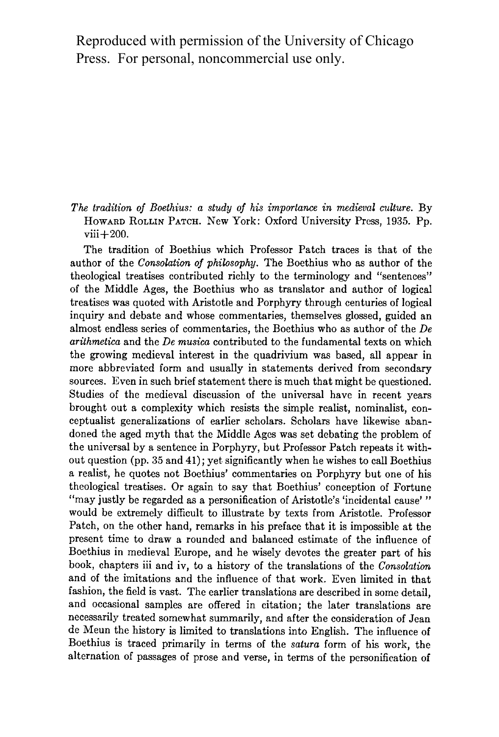Reproduced with permission of the University of Chicago Press. For personal, noncommercial use only.

**The tradition of Boethius: a study of his importance in medieval culture. By HOWARD ROLLIN PATCH. New York: Oxford University Press, 1935. Pp. viii+200.** 

**The tradition of Boethius which Professor Patch traces is that of the author of the Consolation of philosophy. The Boethius who as author of the theological treatises contributed richly to the terminology and "sentences" of the Middle Ages, the Boethius who as translator and author of logical treatises was quoted with Aristotle and Porphyry through centuries of logical inquiry and debate and whose commentaries, themselves glossed, guided an almost endless series of commentaries, the Boethius who as author of the De arithmetica and the De musica contributed to the fundamental texts on which the growing medieval interest in the quadrivium was based, all appear in more abbreviated form and usually in statements derived from secondary sources. Even in such brief statement there is much that might be questioned. Studies of the medieval discussion of the universal have in recent years brought out a complexity which resists the simple realist, nominalist, conceptualist generalizations of earlier scholars. Scholars have likewise abandoned the aged myth that the Middle Ages was set debating the problem of the universal by a sentence in Porphyry, but Professor Patch repeats it without question (pp. 35 and 41); yet significantly when he wishes to call Boethius a realist, he quotes not Boethius' commentaries on Porphyry but one of his theological treatises. Or again to say that Boethius' conception of Fortune "may justly be regarded as a personification of Aristotle's 'incidental cause' " would be extremely difficult to illustrate by texts from Aristotle. Professor Patch, on the other hand, remarks in his preface that it is impossible at the present time to draw a rounded and balanced estimate of the influence of Boethius in medieval Europe, and he wisely devotes the greater part of his book, chapters iii and iv, to a history of the translations of the Consolation and of the imitations and the influence of that work. Even limited in that fashion, the field is vast. The earlier translations are described in some detail, and occasional samples are offered in citation; the later translations are necessarily treated somewhat summarily, and after the consideration of Jean de Meun the history is limited to translations into English. The influence of Boethius is traced primarily in terms of the satura form of his work, the alternation of passages of prose and verse, in terms of the personification of**